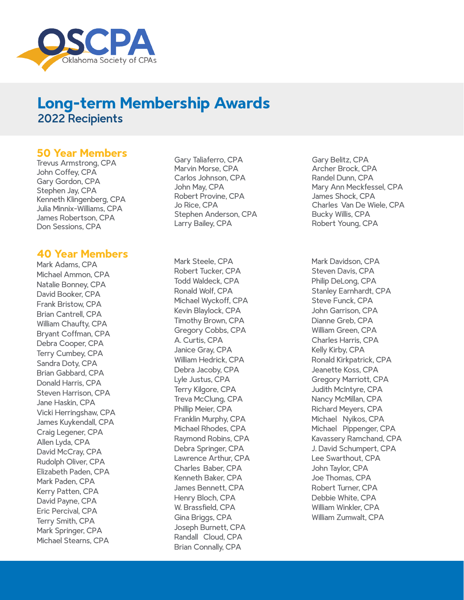

## **Long-term Membership Awards** 2022 Recipients

### **50 Year Members**

Trevus Armstrong, CPA John Coffey, CPA Gary Gordon, CPA Stephen Jay, CPA Kenneth Klingenberg, CPA Julia Minnix-Williams, CPA James Robertson, CPA Don Sessions, CPA

#### **40 Year Members**

Mark Adams, CPA Michael Ammon, CPA Natalie Bonney, CPA David Booker, CPA Frank Bristow, CPA Brian Cantrell, CPA William Chaufty, CPA Bryant Coffman, CPA Debra Cooper, CPA Terry Cumbey, CPA Sandra Doty, CPA Brian Gabbard, CPA Donald Harris, CPA Steven Harrison, CPA Jane Haskin, CPA Vicki Herringshaw, CPA James Kuykendall, CPA Craig Legener, CPA Allen Lyda, CPA David McCray, CPA Rudolph Oliver, CPA Elizabeth Paden, CPA Mark Paden, CPA Kerry Patten, CPA David Payne, CPA Eric Percival, CPA Terry Smith, CPA Mark Springer, CPA Michael Stearns, CPA

Gary Taliaferro, CPA Marvin Morse, CPA Carlos Johnson, CPA John May, CPA Robert Provine, CPA Jo Rice, CPA Stephen Anderson, CPA Larry Bailey, CPA

Mark Steele, CPA Robert Tucker, CPA Todd Waldeck, CPA Ronald Wolf, CPA Michael Wyckoff, CPA Kevin Blaylock, CPA Timothy Brown, CPA Gregory Cobbs, CPA A. Curtis, CPA Janice Gray, CPA William Hedrick, CPA Debra Jacoby, CPA Lyle Justus, CPA Terry Kilgore, CPA Treva McClung, CPA Phillip Meier, CPA Franklin Murphy, CPA Michael Rhodes, CPA Raymond Robins, CPA Debra Springer, CPA Lawrence Arthur, CPA Charles Baber, CPA Kenneth Baker, CPA James Bennett, CPA Henry Bloch, CPA W. Brassfield, CPA Gina Briggs, CPA Joseph Burnett, CPA Randall Cloud, CPA Brian Connally, CPA

Gary Belitz, CPA Archer Brock, CPA Randel Dunn, CPA Mary Ann Meckfessel, CPA James Shock, CPA Charles Van De Wiele, CPA Bucky Willis, CPA Robert Young, CPA

Mark Davidson, CPA Steven Davis, CPA Philip DeLong, CPA Stanley Earnhardt, CPA Steve Funck, CPA John Garrison, CPA Dianne Greb, CPA William Green, CPA Charles Harris, CPA Kelly Kirby, CPA Ronald Kirkpatrick, CPA Jeanette Koss, CPA Gregory Marriott, CPA Judith McIntyre, CPA Nancy McMillan, CPA Richard Meyers, CPA Michael Nyikos, CPA Michael Pippenger, CPA Kavassery Ramchand, CPA J. David Schumpert, CPA Lee Swarthout, CPA John Taylor, CPA Joe Thomas, CPA Robert Turner, CPA Debbie White, CPA William Winkler, CPA William Zumwalt, CPA